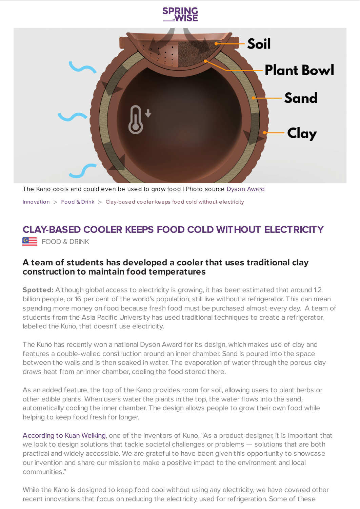

The Kano cools and could even be used to grow food | Photo source [Dyson](https://www.jamesdysonaward.org/2020/project/kuno/) Award [Innovation](https://www.springwise.com/search?type=innovation)  $>$  [Food](https://www.springwise.com/search?type=innovation§or=food-and-drink) & Drink  $>$  Clay-based cooler keeps food cold without electricity

## **CLAY-BASED COOLER KEEPS FOOD COLD WITHOUT ELECTRICITY**

**GE** FOOD & DRINK

## **A team of students has developed a cooler that uses traditional clay construction to maintain food temperatures**

**Spotted:** Although global access to electricity is growing, it has been estimated that around 1.2 billion people, or 16 per cent of the world's population, still live without a refrigerator. This can mean spending more money on food because fresh food must be purchased almost every day. A team of students from the Asia Pacific University has used traditional techniques to create a refrigerator, labelled the Kuno, that doesn't use electricity.

The Kuno has recently won a national Dyson Award for its design, which makes use of clay and features a double-walled construction around an inner chamber. Sand is poured into the space between the walls and is then soaked in water. The evaporation of water through the porous clay draws heat from an inner chamber, cooling the food stored there.

As an added feature, the top of the Kano provides room for soil, allowing users to plant herbs or other edible plants. When users water the plants in the top, the water flows into the sand, automatically cooling the inner chamber. The design allows people to grow their own food while helping to keep food fresh for longer.

[According](https://www.jamesdysonaward.org/2020/project/kuno/) to Kuan Weiking, one of the inventors of Kuno, "As a product designer, it is important that we look to design solutions that tackle societal challenges or problems — solutions that are both practical and widely accessible. We are grateful to have been given this opportunity to showcase our invention and share our mission to make a positive impact to the environment and local communities."

While the Kano is designed to keep food cool without using any electricity, we have covered other recent innovations that focus on reducing the electricity used for refrigeration. Some of these